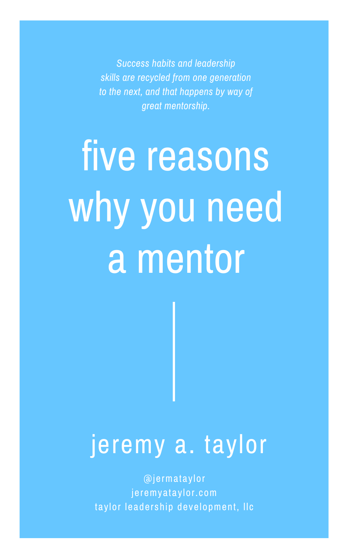five reasons why you need a mentor

# jeremy a. taylor

@jermataylor jeremyataylor.com taylor leadership development, Ilc

*Success habits and leadership skills are recycled from one generation to the next, and that happens by way of great mentorship.*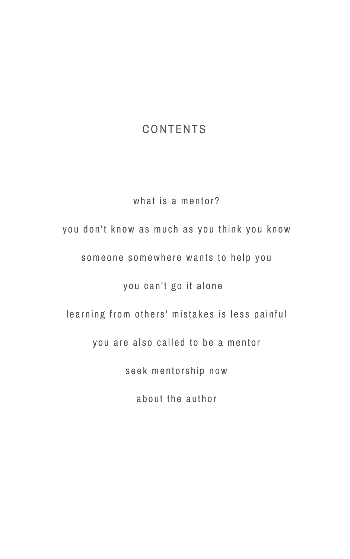# CONTENTS

# what is a mentor?

# you don't know as much as you think you know

someone somewhere wants to help you

you can't go it alone

learning from others' mistakes is less painful

you are also called to be a mentor

seek mentorship now

about the author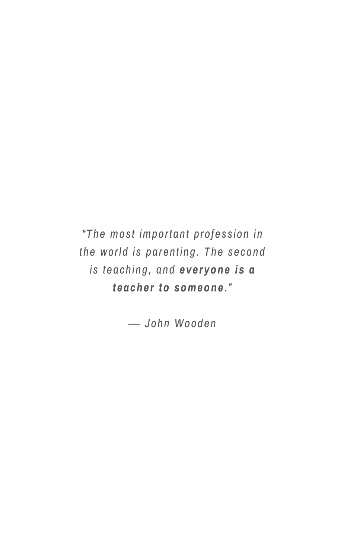*"The most important profession in the world is parenting. The second is teaching, and everyone is a teacher to someone."*

*― John Wooden*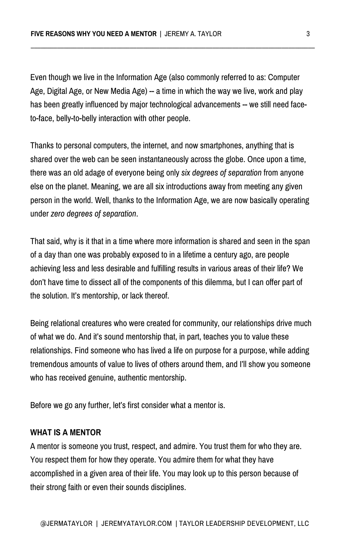Even though we live in the Information Age (also commonly referred to as: Computer Age, Digital Age, or New Media Age) -- a time in which the way we live, work and play has been greatly influenced by major technological advancements -- we still need faceto-face, belly-to-belly interaction with other people.

Thanks to personal computers, the internet, and now smartphones, anything that is shared over the web can be seen instantaneously across the globe. Once upon a time, there was an old adage of everyone being only *six degrees of separation* from anyone else on the planet. Meaning, we are all six introductions away from meeting any given person in the world. Well, thanks to the Information Age, we are now basically operating under *zero degrees of separation*.

That said, why is it that in a time where more information is shared and seen in the span of a day than one was probably exposed to in a lifetime a century ago, are people achieving less and less desirable and fulfilling results in various areas of their life? We don't have time to dissect all of the components of this dilemma, but I can offer part of the solution. It's mentorship, or lack thereof.

Being relational creatures who were created for community, our relationships drive much of what we do. And it's sound mentorship that, in part, teaches you to value these relationships. Find someone who has lived a life on purpose for a purpose, while adding tremendous amounts of value to lives of others around them, and I'll show you someone who has received genuine, authentic mentorship.

Before we go any further, let's first consider what a mentor is.

#### **WHAT IS A MENTOR**

A mentor is someone you trust, respect, and admire. You trust them for who they are. You respect them for how they operate. You admire them for what they have accomplished in a given area of their life. You may look up to this person because of their strong faith or even their sounds disciplines.

**\_\_\_\_\_\_\_\_\_\_\_\_\_\_\_\_\_\_\_\_\_\_\_\_\_\_\_\_\_\_\_\_\_\_\_\_\_\_\_\_\_\_\_\_\_\_\_\_\_\_\_\_\_\_\_\_\_\_\_\_\_\_\_\_\_\_\_\_\_\_\_\_\_\_\_\_\_\_\_\_\_\_\_\_\_\_**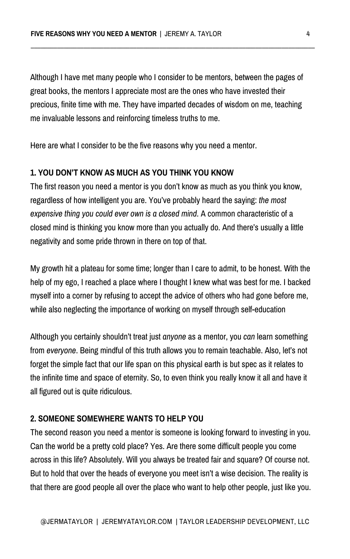Although I have met many people who I consider to be mentors, between the pages of great books, the mentors I appreciate most are the ones who have invested their precious, finite time with me. They have imparted decades of wisdom on me, teaching me invaluable lessons and reinforcing timeless truths to me.

Here are what I consider to be the five reasons why you need a mentor.

#### **1. YOU DON'T KNOW AS MUCH AS YOU THINK YOU KNOW**

The first reason you need a mentor is you don't know as much as you think you know, regardless of how intelligent you are. You've probably heard the saying: *the most expensive thing you could ever own is a closed mind.* A common characteristic of a closed mind is thinking you know more than you actually do. And there's usually a little negativity and some pride thrown in there on top of that.

My growth hit a plateau for some time; longer than I care to admit, to be honest. With the help of my ego, I reached a place where I thought I knew what was best for me. I backed myself into a corner by refusing to accept the advice of others who had gone before me, while also neglecting the importance of working on myself through self-education

Although you certainly shouldn't treat just *anyone* as a mentor, you *can* learn something from *everyone*. Being mindful of this truth allows you to remain teachable. Also, let's not forget the simple fact that our life span on this physical earth is but spec as it relates to the infinite time and space of eternity. So, to even think you really know it all and have it all figured out is quite ridiculous.

#### **2. SOMEONE SOMEWHERE WANTS TO HELP YOU**

The second reason you need a mentor is someone is looking forward to investing in you. Can the world be a pretty cold place? Yes. Are there some difficult people you come across in this life? Absolutely. Will you always be treated fair and square? Of course not. But to hold that over the heads of everyone you meet isn't a wise decision. The reality is that there are good people all over the place who want to help other people, just like you.

**\_\_\_\_\_\_\_\_\_\_\_\_\_\_\_\_\_\_\_\_\_\_\_\_\_\_\_\_\_\_\_\_\_\_\_\_\_\_\_\_\_\_\_\_\_\_\_\_\_\_\_\_\_\_\_\_\_\_\_\_\_\_\_\_\_\_\_\_\_\_\_\_\_\_\_\_\_\_\_\_\_\_\_\_\_\_**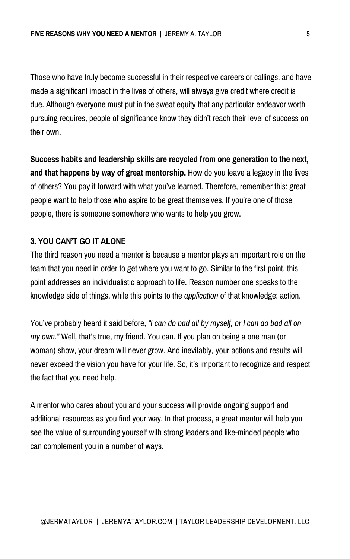Those who have truly become successful in their respective careers or callings, and have made a significant impact in the lives of others, will always give credit where credit is due. Although everyone must put in the sweat equity that any particular endeavor worth pursuing requires, people of significance know they didn't reach their level of success on their own.

**Success habits and leadership skills are recycled from one generation to the next, and that happens by way of great mentorship.** How do you leave a legacy in the lives of others? You pay it forward with what you've learned. Therefore, remember this: great people want to help those who aspire to be great themselves. If you're one of those people, there is someone somewhere who wants to help you grow.

#### **3. YOU CAN'T GO IT ALONE**

The third reason you need a mentor is because a mentor plays an important role on the team that you need in order to get where you want to go. Similar to the first point, this point addresses an individualistic approach to life. Reason number one speaks to the knowledge side of things, while this points to the *application* of that knowledge: action.

You've probably heard it said before, *"I can do bad all by myself, or I can do bad all on my own."* Well, that's true, my friend. You can. If you plan on being a one man (or woman) show, your dream will never grow. And inevitably, your actions and results will never exceed the vision you have for your life. So, it's important to recognize and respect the fact that you need help.

A mentor who cares about you and your success will provide ongoing support and additional resources as you find your way. In that process, a great mentor will help you see the value of surrounding yourself with strong leaders and like-minded people who can complement you in a number of ways.

**\_\_\_\_\_\_\_\_\_\_\_\_\_\_\_\_\_\_\_\_\_\_\_\_\_\_\_\_\_\_\_\_\_\_\_\_\_\_\_\_\_\_\_\_\_\_\_\_\_\_\_\_\_\_\_\_\_\_\_\_\_\_\_\_\_\_\_\_\_\_\_\_\_\_\_\_\_\_\_\_\_\_\_\_\_\_**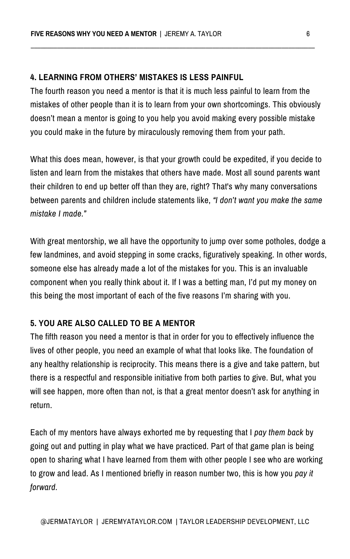#### **4. LEARNING FROM OTHERS' MISTAKES IS LESS PAINFUL**

The fourth reason you need a mentor is that it is much less painful to learn from the mistakes of other people than it is to learn from your own shortcomings. This obviously doesn't mean a mentor is going to you help you avoid making every possible mistake you could make in the future by miraculously removing them from your path.

What this does mean, however, is that your growth could be expedited, if you decide to listen and learn from the mistakes that others have made. Most all sound parents want their children to end up better off than they are, right? That's why many conversations between parents and children include statements like, *"I don't want you make the same mistake I made."*

With great mentorship, we all have the opportunity to jump over some potholes, dodge a few landmines, and avoid stepping in some cracks, figuratively speaking. In other words, someone else has already made a lot of the mistakes for you. This is an invaluable component when you really think about it. If I was a betting man, I'd put my money on this being the most important of each of the five reasons I'm sharing with you.

## **5. YOU ARE ALSO CALLED TO BE A MENTOR**

The fifth reason you need a mentor is that in order for you to effectively influence the lives of other people, you need an example of what that looks like. The foundation of any healthy relationship is reciprocity. This means there is a give and take pattern, but there is a respectful and responsible initiative from both parties to give. But, what you will see happen, more often than not, is that a great mentor doesn't ask for anything in return.

Each of my mentors have always exhorted me by requesting that I *pay them back* by going out and putting in play what we have practiced. Part of that game plan is being open to sharing what I have learned from them with other people I see who are working to grow and lead. As I mentioned briefly in reason number two, this is how you *pay it forward.*

**\_\_\_\_\_\_\_\_\_\_\_\_\_\_\_\_\_\_\_\_\_\_\_\_\_\_\_\_\_\_\_\_\_\_\_\_\_\_\_\_\_\_\_\_\_\_\_\_\_\_\_\_\_\_\_\_\_\_\_\_\_\_\_\_\_\_\_\_\_\_\_\_\_\_\_\_\_\_\_\_\_\_\_\_\_\_**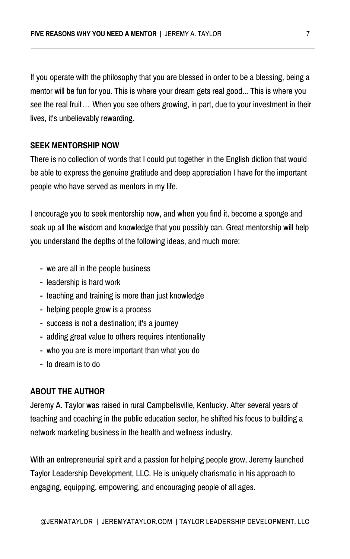If you operate with the philosophy that you are blessed in order to be a blessing, being a mentor will be fun for you. This is where your dream gets real good... This is where you see the real fruit… When you see others growing, in part, due to your investment in their lives, it's unbelievably rewarding.

#### **SEEK MENTORSHIP NOW**

There is no collection of words that I could put together in the English diction that would be able to express the genuine gratitude and deep appreciation I have for the important people who have served as mentors in my life.

I encourage you to seek mentorship now, and when you find it, become a sponge and soak up all the wisdom and knowledge that you possibly can. Great mentorship will help you understand the depths of the following ideas, and much more:

- we are all in the people business
- leadership is hard work
- teaching and training is more than just knowledge
- 
- helping people grow is a process
- success is not a destination; it's a journey
- adding great value to others requires intentionality
- who you are is more important than what you do
- to dream is to do

# **ABOUT THE AUTHOR**

Jeremy A. Taylor was raised in rural Campbellsville, Kentucky. After several years of teaching and coaching in the public education sector, he shifted his focus to building a network marketing business in the health and wellness industry.

With an entrepreneurial spirit and a passion for helping people grow, Jeremy launched Taylor Leadership Development, LLC. He is uniquely charismatic in his approach to engaging, equipping, empowering, and encouraging people of all ages.

**\_\_\_\_\_\_\_\_\_\_\_\_\_\_\_\_\_\_\_\_\_\_\_\_\_\_\_\_\_\_\_\_\_\_\_\_\_\_\_\_\_\_\_\_\_\_\_\_\_\_\_\_\_\_\_\_\_\_\_\_\_\_\_\_\_\_\_\_\_\_\_\_\_\_\_\_\_\_\_\_\_\_\_\_\_\_**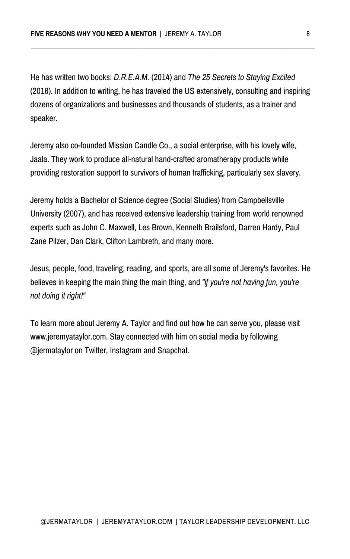He has written two books: *D.R.E.A.M.* (2014) and *The 25 Secrets to Staying Excited* (2016). In addition to writing, he has traveled the US extensively, consulting and inspiring dozens of organizations and businesses and thousands of students, as a trainer and speaker.

Jeremy also co-founded Mission Candle Co., a social enterprise, with his lovely wife, Jaala. They work to produce all-natural hand-crafted aromatherapy products while providing restoration support to survivors of human trafficking, particularly sex slavery.

Jeremy holds a Bachelor of Science degree (Social Studies) from Campbellsville University (2007), and has received extensive leadership training from world renowned experts such as John C. Maxwell, Les Brown, Kenneth Brailsford, Darren Hardy, Paul Zane Pilzer, Dan Clark, Clifton Lambreth, and many more.

Jesus, people, food, traveling, reading, and sports, are all some of Jeremy's favorites. He believes in keeping the main thing the main thing, and *"if you're not having fun, you're not doing it right!"*

To learn more about Jeremy A. Taylor and find out how he can serve you, please visit www.jeremyataylor.com. Stay connected with him on social media by following @jermataylor on Twitter, Instagram and Snapchat.

**\_\_\_\_\_\_\_\_\_\_\_\_\_\_\_\_\_\_\_\_\_\_\_\_\_\_\_\_\_\_\_\_\_\_\_\_\_\_\_\_\_\_\_\_\_\_\_\_\_\_\_\_\_\_\_\_\_\_\_\_\_\_\_\_\_\_\_\_\_\_\_\_\_\_\_\_\_\_\_\_\_\_\_\_\_\_**